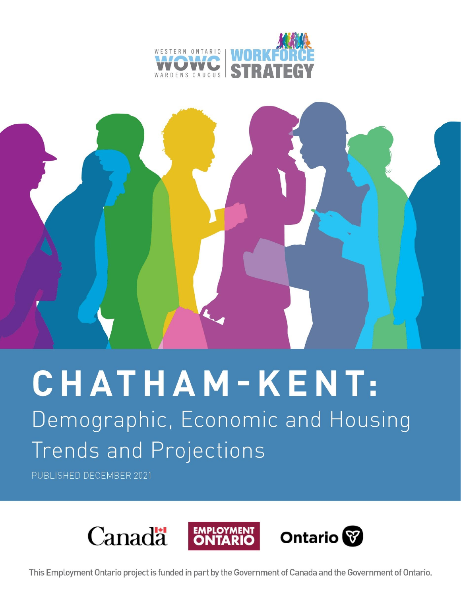



# CHATHAM-KENT:

Demographic, Economic and Housing Trends and Projections

PUBLISHED DECEMBER 2021



This Employment Ontario project is funded in part by the Government of Canada and the Government of Ontario.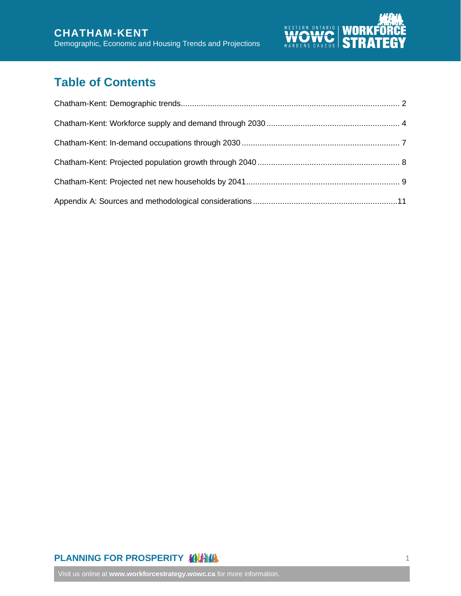

# **Table of Contents**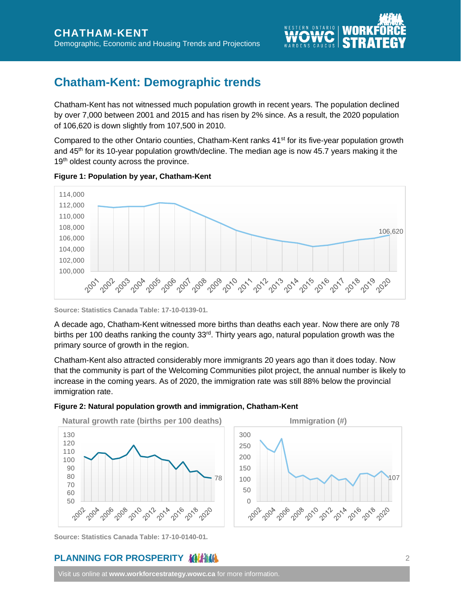

# <span id="page-2-0"></span>**Chatham-Kent: Demographic trends**

Chatham-Kent has not witnessed much population growth in recent years. The population declined by over 7,000 between 2001 and 2015 and has risen by 2% since. As a result, the 2020 population of 106,620 is down slightly from 107,500 in 2010.

Compared to the other Ontario counties, Chatham-Kent ranks 41<sup>st</sup> for its five-year population growth and 45th for its 10-year population growth/decline. The median age is now 45.7 years making it the 19<sup>th</sup> oldest county across the province.





**Source: Statistics Canada Table: 17-10-0139-01.**

A decade ago, Chatham-Kent witnessed more births than deaths each year. Now there are only 78 births per 100 deaths ranking the county 33<sup>rd</sup>. Thirty years ago, natural population growth was the primary source of growth in the region.

Chatham-Kent also attracted considerably more immigrants 20 years ago than it does today. Now that the community is part of the Welcoming Communities pilot project, the annual number is likely to increase in the coming years. As of 2020, the immigration rate was still 88% below the provincial immigration rate.

#### **Figure 2: Natural population growth and immigration, Chatham-Kent**



**Source: Statistics Canada Table: 17-10-0140-01.**

## **PLANNING FOR PROSPERITY ANTIHALLY FOR A SET OF A SET OF A SET OF A SET OF A SET OF A SET OF A SET OF A SET OF A SET OF A SET OF A SET OF A SET OF A SET OF A SET OF A SET OF A SET OF A SET OF A SET OF A SET OF A SET OF A S**

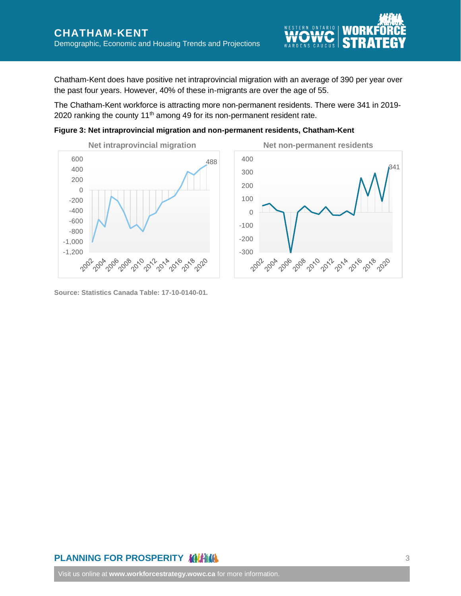Chatham-Kent does have positive net intraprovincial migration with an average of 390 per year over the past four years. However, 40% of these in-migrants are over the age of 55.

The Chatham-Kent workforce is attracting more non-permanent residents. There were 341 in 2019- 2020 ranking the county 11<sup>th</sup> among 49 for its non-permanent resident rate.

**Figure 3: Net intraprovincial migration and non-permanent residents, Chatham-Kent**





**Source: Statistics Canada Table: 17-10-0140-01.**

# **PLANNING FOR PROSPERITY ANTIHALLY FOR A SET OF A SET OF A SUMPLY SET OF A SET OF A SET OF A SET OF A SET OF A S**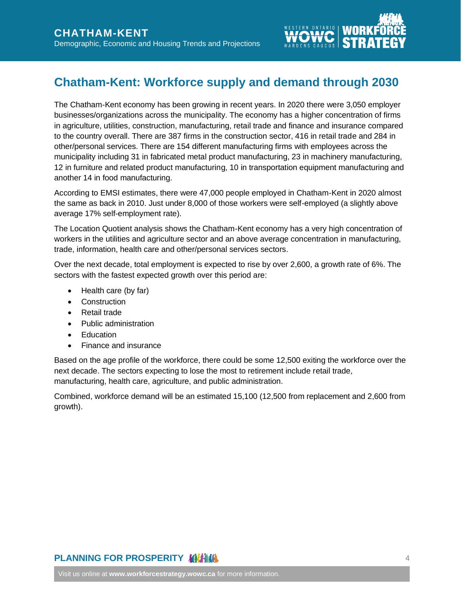

# <span id="page-4-0"></span>**Chatham-Kent: Workforce supply and demand through 2030**

The Chatham-Kent economy has been growing in recent years. In 2020 there were 3,050 employer businesses/organizations across the municipality. The economy has a higher concentration of firms in agriculture, utilities, construction, manufacturing, retail trade and finance and insurance compared to the country overall. There are 387 firms in the construction sector, 416 in retail trade and 284 in other/personal services. There are 154 different manufacturing firms with employees across the municipality including 31 in fabricated metal product manufacturing, 23 in machinery manufacturing, 12 in furniture and related product manufacturing, 10 in transportation equipment manufacturing and another 14 in food manufacturing.

According to EMSI estimates, there were 47,000 people employed in Chatham-Kent in 2020 almost the same as back in 2010. Just under 8,000 of those workers were self-employed (a slightly above average 17% self-employment rate).

The Location Quotient analysis shows the Chatham-Kent economy has a very high concentration of workers in the utilities and agriculture sector and an above average concentration in manufacturing, trade, information, health care and other/personal services sectors.

Over the next decade, total employment is expected to rise by over 2,600, a growth rate of 6%. The sectors with the fastest expected growth over this period are:

- Health care (by far)
- Construction
- Retail trade
- Public administration
- Education
- Finance and insurance

Based on the age profile of the workforce, there could be some 12,500 exiting the workforce over the next decade. The sectors expecting to lose the most to retirement include retail trade, manufacturing, health care, agriculture, and public administration.

Combined, workforce demand will be an estimated 15,100 (12,500 from replacement and 2,600 from growth).

# **PLANNING FOR PROSPERITY MILLIAM**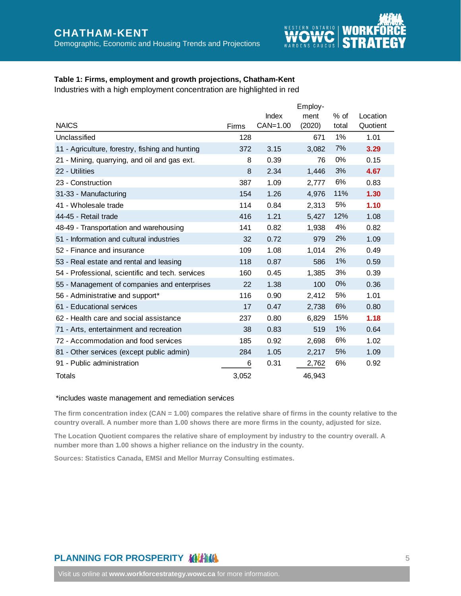

### **Table 1: Firms, employment and growth projections, Chatham-Kent**

Industries with a high employment concentration are highlighted in red

|                                                  |       |          | Employ- |        |          |
|--------------------------------------------------|-------|----------|---------|--------|----------|
|                                                  |       | Index    | ment    | $%$ of | Location |
| <b>NAICS</b>                                     | Firms | CAN=1.00 | (2020)  | total  | Quotient |
| Unclassified                                     | 128   |          | 671     | 1%     | 1.01     |
| 11 - Agriculture, forestry, fishing and hunting  | 372   | 3.15     | 3,082   | 7%     | 3.29     |
| 21 - Mining, quarrying, and oil and gas ext.     | 8     | 0.39     | 76      | $0\%$  | 0.15     |
| 22 - Utilities                                   | 8     | 2.34     | 1,446   | 3%     | 4.67     |
| 23 - Construction                                | 387   | 1.09     | 2,777   | 6%     | 0.83     |
| 31-33 - Manufacturing                            | 154   | 1.26     | 4,976   | 11%    | 1.30     |
| 41 - Wholesale trade                             | 114   | 0.84     | 2,313   | 5%     | 1.10     |
| 44-45 - Retail trade                             | 416   | 1.21     | 5,427   | 12%    | 1.08     |
| 48-49 - Transportation and warehousing           | 141   | 0.82     | 1,938   | 4%     | 0.82     |
| 51 - Information and cultural industries         | 32    | 0.72     | 979     | 2%     | 1.09     |
| 52 - Finance and insurance                       | 109   | 1.08     | 1.014   | 2%     | 0.49     |
| 53 - Real estate and rental and leasing          | 118   | 0.87     | 586     | 1%     | 0.59     |
| 54 - Professional, scientific and tech. services | 160   | 0.45     | 1,385   | 3%     | 0.39     |
| 55 - Management of companies and enterprises     | 22    | 1.38     | 100     | 0%     | 0.36     |
| 56 - Administrative and support*                 | 116   | 0.90     | 2,412   | 5%     | 1.01     |
| 61 - Educational services                        | 17    | 0.47     | 2,738   | 6%     | 0.80     |
| 62 - Health care and social assistance           | 237   | 0.80     | 6,829   | 15%    | 1.18     |
| 71 - Arts, entertainment and recreation          | 38    | 0.83     | 519     | 1%     | 0.64     |
| 72 - Accommodation and food services             | 185   | 0.92     | 2,698   | 6%     | 1.02     |
| 81 - Other services (except public admin)        | 284   | 1.05     | 2,217   | 5%     | 1.09     |
| 91 - Public administration                       | 6     | 0.31     | 2,762   | 6%     | 0.92     |
| Totals                                           | 3,052 |          | 46,943  |        |          |

#### \*includes waste management and remediation services

**The firm concentration index (CAN = 1.00) compares the relative share of firms in the county relative to the country overall. A number more than 1.00 shows there are more firms in the county, adjusted for size.**

**The Location Quotient compares the relative share of employment by industry to the country overall. A number more than 1.00 shows a higher reliance on the industry in the county.**

**Sources: Statistics Canada, EMSI and Mellor Murray Consulting estimates.**

## **PLANNING FOR PROSPERITY MILLER CONTROL**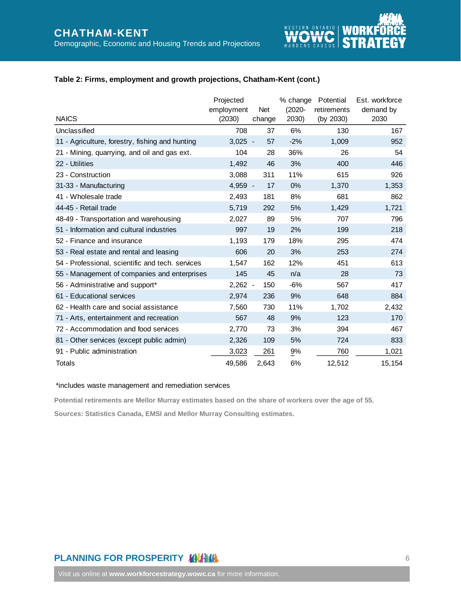

#### **Table 2: Firms, employment and growth projections, Chatham-Kent (cont.)**

| <b>NAICS</b>                                     | Projected<br>employment<br>(2030) | Net<br>change | % change<br>$(2020 -$<br>2030) | Potential<br>retirements<br>(by 2030) | Est. workforce<br>demand by<br>2030 |
|--------------------------------------------------|-----------------------------------|---------------|--------------------------------|---------------------------------------|-------------------------------------|
| Unclassified                                     | 708                               | 37            | 6%                             | 130                                   | 167                                 |
| 11 - Agriculture, forestry, fishing and hunting  | $3,025 -$                         | 57            | $-2%$                          | 1,009                                 | 952                                 |
| 21 - Mining, quarrying, and oil and gas ext.     | 104                               | 28            | 36%                            | 26                                    | 54                                  |
| 22 - Utilities                                   | 1,492                             | 46            | 3%                             | 400                                   | 446                                 |
| 23 - Construction                                | 3,088                             | 311           | 11%                            | 615                                   | 926                                 |
| 31-33 - Manufacturing                            | $4,959 -$                         | 17            | 0%                             | 1,370                                 | 1,353                               |
| 41 - Wholesale trade                             | 2,493                             | 181           | 8%                             | 681                                   | 862                                 |
| 44-45 - Retail trade                             | 5,719                             | 292           | 5%                             | 1,429                                 | 1,721                               |
| 48-49 - Transportation and warehousing           | 2,027                             | 89            | 5%                             | 707                                   | 796                                 |
| 51 - Information and cultural industries         | 997                               | 19            | 2%                             | 199                                   | 218                                 |
| 52 - Finance and insurance                       | 1,193                             | 179           | 18%                            | 295                                   | 474                                 |
| 53 - Real estate and rental and leasing          | 606                               | 20            | 3%                             | 253                                   | 274                                 |
| 54 - Professional, scientific and tech. services | 1,547                             | 162           | 12%                            | 451                                   | 613                                 |
| 55 - Management of companies and enterprises     | 145                               | 45            | n/a                            | 28                                    | 73                                  |
| 56 - Administrative and support*                 | $2,262 -$                         | 150           | $-6%$                          | 567                                   | 417                                 |
| 61 - Educational services                        | 2,974                             | 236           | 9%                             | 648                                   | 884                                 |
| 62 - Health care and social assistance           | 7,560                             | 730           | 11%                            | 1,702                                 | 2,432                               |
| 71 - Arts, entertainment and recreation          | 567                               | 48            | 9%                             | 123                                   | 170                                 |
| 72 - Accommodation and food services             | 2,770                             | 73            | 3%                             | 394                                   | 467                                 |
| 81 - Other services (except public admin)        | 2,326                             | 109           | 5%                             | 724                                   | 833                                 |
| 91 - Public administration                       | 3,023                             | 261           | 9%                             | 760                                   | 1,021                               |
| Totals                                           | 49,586                            | 2,643         | 6%                             | 12,512                                | 15,154                              |

#### \*includes waste management and remediation services

**Potential retirements are Mellor Murray estimates based on the share of workers over the age of 55.**

**Sources: Statistics Canada, EMSI and Mellor Murray Consulting estimates.**

## **PLANNING FOR PROSPERITY MILLIAM**

Visit us online at **[www.workforcestrategy.wowc.ca](http://www.workforcestrategy.wowc.com/)** for more information.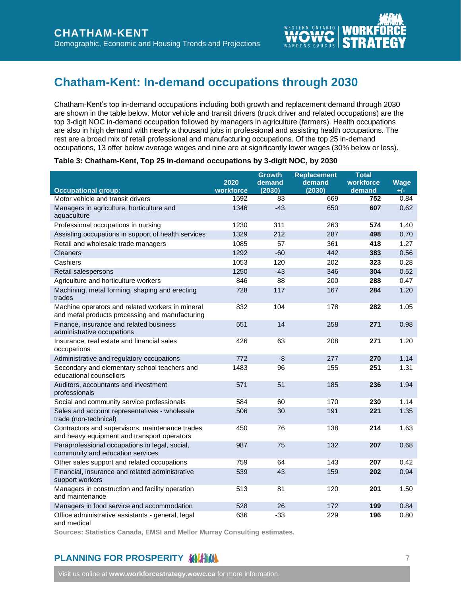

# <span id="page-7-0"></span>**Chatham-Kent: In-demand occupations through 2030**

Chatham-Kent's top in-demand occupations including both growth and replacement demand through 2030 are shown in the table below. Motor vehicle and transit drivers (truck driver and related occupations) are the top 3-digit NOC in-demand occupation followed by managers in agriculture (farmers). Health occupations are also in high demand with nearly a thousand jobs in professional and assisting health occupations. The rest are a broad mix of retail professional and manufacturing occupations. Of the top 25 in-demand occupations, 13 offer below average wages and nine are at significantly lower wages (30% below or less).

#### **Table 3: Chatham-Kent, Top 25 in-demand occupations by 3-digit NOC, by 2030**

|                                                                                                     |                   | <b>Growth</b>    | <b>Replacement</b> | <b>Total</b>        |               |
|-----------------------------------------------------------------------------------------------------|-------------------|------------------|--------------------|---------------------|---------------|
| <b>Occupational group:</b>                                                                          | 2020<br>workforce | demand<br>(2030) | demand<br>(2030)   | workforce<br>demand | Wage<br>$+/-$ |
| Motor vehicle and transit drivers                                                                   | 1592              | 83               | 669                | 752                 | 0.84          |
| Managers in agriculture, horticulture and<br>aquaculture                                            | 1346              | $-43$            | 650                | 607                 | 0.62          |
| Professional occupations in nursing                                                                 | 1230              | 311              | 263                | 574                 | 1.40          |
| Assisting occupations in support of health services                                                 | 1329              | 212              | 287                | 498                 | 0.70          |
| Retail and wholesale trade managers                                                                 | 1085              | 57               | 361                | 418                 | 1.27          |
| Cleaners                                                                                            | 1292              | $-60$            | 442                | 383                 | 0.56          |
| Cashiers                                                                                            | 1053              | 120              | 202                | 323                 | 0.28          |
| Retail salespersons                                                                                 | 1250              | $-43$            | 346                | 304                 | 0.52          |
| Agriculture and horticulture workers                                                                | 846               | 88               | 200                | 288                 | 0.47          |
| Machining, metal forming, shaping and erecting<br>trades                                            | 728               | 117              | 167                | 284                 | 1.20          |
| Machine operators and related workers in mineral<br>and metal products processing and manufacturing | 832               | 104              | 178                | 282                 | 1.05          |
| Finance, insurance and related business<br>administrative occupations                               | 551               | 14               | 258                | 271                 | 0.98          |
| Insurance, real estate and financial sales<br>occupations                                           | 426               | 63               | 208                | 271                 | 1.20          |
| Administrative and regulatory occupations                                                           | 772               | $-8$             | 277                | 270                 | 1.14          |
| Secondary and elementary school teachers and<br>educational counsellors                             | 1483              | 96               | 155                | 251                 | 1.31          |
| Auditors, accountants and investment<br>professionals                                               | 571               | 51               | 185                | 236                 | 1.94          |
| Social and community service professionals                                                          | 584               | 60               | 170                | 230                 | 1.14          |
| Sales and account representatives - wholesale<br>trade (non-technical)                              | 506               | 30               | 191                | 221                 | 1.35          |
| Contractors and supervisors, maintenance trades<br>and heavy equipment and transport operators      | 450               | 76               | 138                | 214                 | 1.63          |
| Paraprofessional occupations in legal, social,<br>community and education services                  | 987               | 75               | 132                | 207                 | 0.68          |
| Other sales support and related occupations                                                         | 759               | 64               | 143                | 207                 | 0.42          |
| Financial, insurance and related administrative<br>support workers                                  | 539               | 43               | 159                | 202                 | 0.94          |
| Managers in construction and facility operation<br>and maintenance                                  | 513               | 81               | 120                | 201                 | 1.50          |
| Managers in food service and accommodation                                                          | 528               | 26               | 172                | 199                 | 0.84          |
| Office administrative assistants - general, legal                                                   | 636               | $-33$            | 229                | 196                 | 0.80          |

and medical

**Sources: Statistics Canada, EMSI and Mellor Murray Consulting estimates.**

## **PLANNING FOR PROSPERITY AND ALL AND ARRANGEMENT FOR PROSPERITY AND ARRANGEMENT FOR A STATE OF A STATE OF A STATE OF A STATE OF A STATE OF A STATE OF A STATE OF A STATE OF A STATE OF A STATE OF A STATE OF A STATE OF A STAT**

Visit us online at **[www.workforcestrategy.wowc.ca](http://www.workforcestrategy.wowc.com/)** for more information.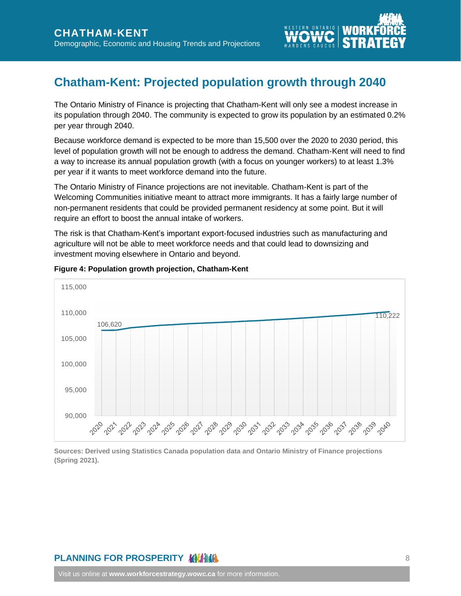

# <span id="page-8-0"></span>**Chatham-Kent: Projected population growth through 2040**

The Ontario Ministry of Finance is projecting that Chatham-Kent will only see a modest increase in its population through 2040. The community is expected to grow its population by an estimated 0.2% per year through 2040.

Because workforce demand is expected to be more than 15,500 over the 2020 to 2030 period, this level of population growth will not be enough to address the demand. Chatham-Kent will need to find a way to increase its annual population growth (with a focus on younger workers) to at least 1.3% per year if it wants to meet workforce demand into the future.

The Ontario Ministry of Finance projections are not inevitable. Chatham-Kent is part of the Welcoming Communities initiative meant to attract more immigrants. It has a fairly large number of non-permanent residents that could be provided permanent residency at some point. But it will require an effort to boost the annual intake of workers.

The risk is that Chatham-Kent's important export-focused industries such as manufacturing and agriculture will not be able to meet workforce needs and that could lead to downsizing and investment moving elsewhere in Ontario and beyond.



#### **Figure 4: Population growth projection, Chatham-Kent**

**Sources: Derived using Statistics Canada population data and Ontario Ministry of Finance projections (Spring 2021).**

## **PLANNING FOR PROSPERITY MILLIAM**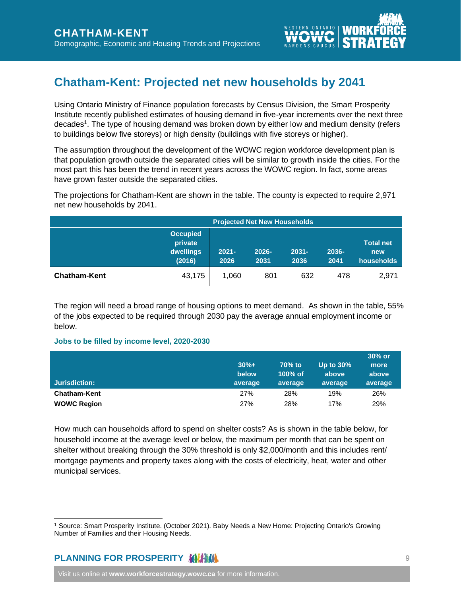

# <span id="page-9-0"></span>**Chatham-Kent: Projected net new households by 2041**

Using Ontario Ministry of Finance population forecasts by Census Division, the Smart Prosperity Institute recently published estimates of housing demand in five-year increments over the next three decades<sup>1</sup>. The type of housing demand was broken down by either low and medium density (refers to buildings below five storeys) or high density (buildings with five storeys or higher).

The assumption throughout the development of the WOWC region workforce development plan is that population growth outside the separated cities will be similar to growth inside the cities. For the most part this has been the trend in recent years across the WOWC region. In fact, some areas have grown faster outside the separated cities.

The projections for Chatham-Kent are shown in the table. The county is expected to require 2,971 net new households by 2041.

|                     | <b>Projected Net New Households</b>               |                  |               |                  |               |                                       |
|---------------------|---------------------------------------------------|------------------|---------------|------------------|---------------|---------------------------------------|
|                     | <b>Occupied</b><br>private<br>dwellings<br>(2016) | $2021 -$<br>2026 | 2026-<br>2031 | $2031 -$<br>2036 | 2036-<br>2041 | <b>Total net</b><br>new<br>households |
| <b>Chatham-Kent</b> | 43,175                                            | 1,060            | 801           | 632              | 478           | 2,971                                 |

The region will need a broad range of housing options to meet demand. As shown in the table, 55% of the jobs expected to be required through 2030 pay the average annual employment income or below.

#### **Jobs to be filled by income level, 2020-2030**

|                     |         |         |              | 30% or  |
|---------------------|---------|---------|--------------|---------|
|                     | $30%+$  | 70% to  | Up to $30\%$ | more    |
|                     | below   | 100% of | above        | above   |
| Jurisdiction:       | average | average | average      | average |
| <b>Chatham-Kent</b> | 27%     | 28%     | 19%          | 26%     |
| <b>WOWC Region</b>  | 27%     | 28%     | 17%          | 29%     |

How much can households afford to spend on shelter costs? As is shown in the table below, for household income at the average level or below, the maximum per month that can be spent on shelter without breaking through the 30% threshold is only \$2,000/month and this includes rent/ mortgage payments and property taxes along with the costs of electricity, heat, water and other municipal services.

## **PLANNING FOR PROSPERITY ANTIHALLY FOR A SET OF A SET OF A SET OF A SET OF A SET OF A SET OF A SET OF A SET OF A SET OF A SET OF A SET OF A SET OF A SET OF A SET OF A SET OF A SET OF A SET OF A SET OF A SET OF A SET OF A S**

Visit us online at **[www.workforcestrategy.wowc.ca](http://www.workforcestrategy.wowc.com/)** for more information.

<sup>1</sup> Source: Smart Prosperity Institute. (October 2021). Baby Needs a New Home: Projecting Ontario's Growing Number of Families and their Housing Needs.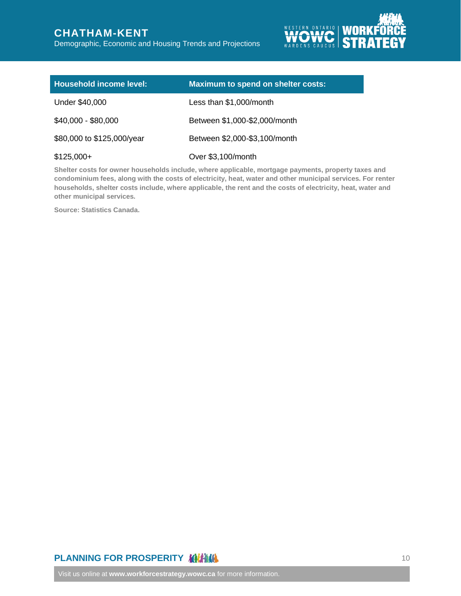# **CHATHAM-KENT**

Demographic, Economic and Housing Trends and Projections



| <b>Household income level:</b> | Maximum to spend on shelter costs: |
|--------------------------------|------------------------------------|
| Under \$40,000                 | Less than \$1,000/month            |
| $$40,000 - $80,000$            | Between \$1,000-\$2,000/month      |
| \$80,000 to \$125,000/year     | Between \$2,000-\$3,100/month      |
| $$125,000+$                    | Over \$3,100/month                 |

**Shelter costs for owner households include, where applicable, mortgage payments, property taxes and condominium fees, along with the costs of electricity, heat, water and other municipal services. For renter households, shelter costs include, where applicable, the rent and the costs of electricity, heat, water and other municipal services.**

**Source: Statistics Canada.**

# **PLANNING FOR PROSPERITY MILLION CONTRACT AND RELATIONS** 10